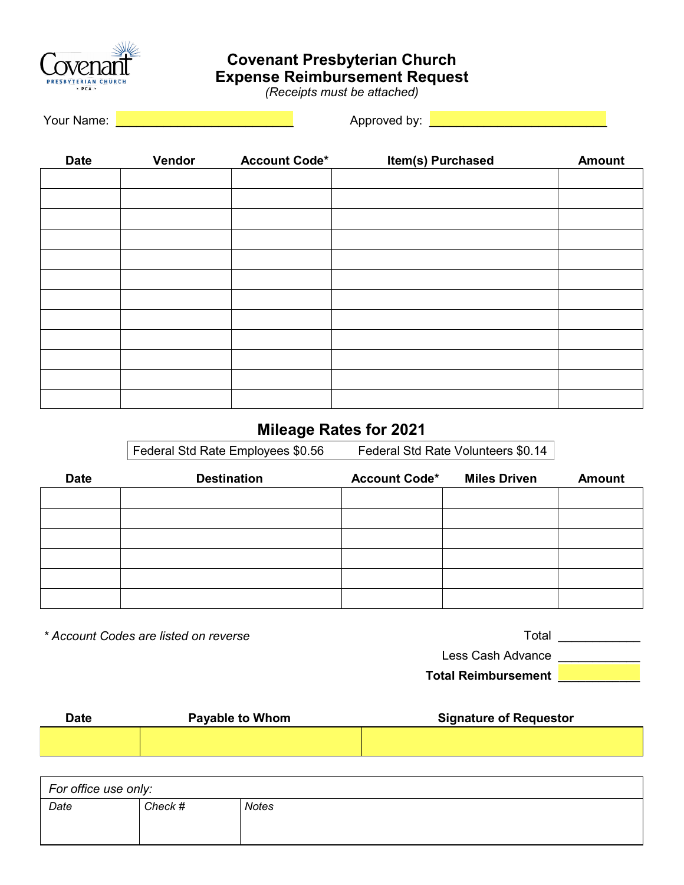

## **Covenant Presbyterian Church Expense Reimbursement Request**

*(Receipts must be attached)*

Your Name: **Exercise Approved by: Approved by: Approved by: Approved by: Approved by: Approved by: Approved by: Approved by: Approved by: Approved by: Approved by: Approved by: Approved by: Approv** 

| <b>Date</b> | Vendor | <b>Account Code*</b> | Item(s) Purchased | <b>Amount</b> |
|-------------|--------|----------------------|-------------------|---------------|
|             |        |                      |                   |               |
|             |        |                      |                   |               |
|             |        |                      |                   |               |
|             |        |                      |                   |               |
|             |        |                      |                   |               |
|             |        |                      |                   |               |
|             |        |                      |                   |               |
|             |        |                      |                   |               |
|             |        |                      |                   |               |
|             |        |                      |                   |               |
|             |        |                      |                   |               |
|             |        |                      |                   |               |
|             |        |                      |                   |               |

## **Mileage Rates for 2021**

Federal Std Rate Employees \$0.56 Federal Std Rate Volunteers \$0.14

| <b>Date</b> | <b>Destination</b> | <b>Account Code*</b> | <b>Miles Driven</b> | <b>Amount</b> |
|-------------|--------------------|----------------------|---------------------|---------------|
|             |                    |                      |                     |               |
|             |                    |                      |                     |               |
|             |                    |                      |                     |               |
|             |                    |                      |                     |               |
|             |                    |                      |                     |               |
|             |                    |                      |                     |               |

*\* Account Codes are listed on reverse*

Total \_\_\_\_\_\_\_\_\_\_\_\_\_\_\_

Less Cash Advance \_\_\_\_\_\_\_\_\_\_\_\_

**Total Reimbursement \_\_\_\_\_\_\_\_\_\_\_\_**

| Date | <b>Payable to Whom</b> | <b>Signature of Requestor</b> |  |
|------|------------------------|-------------------------------|--|
|      |                        |                               |  |
|      |                        |                               |  |

| For office use only: |         |              |  |  |
|----------------------|---------|--------------|--|--|
| Date                 | Check # | <b>Notes</b> |  |  |
|                      |         |              |  |  |